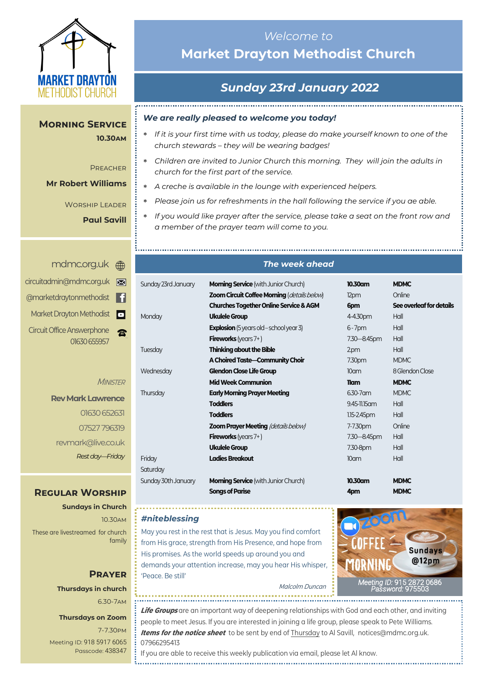

## **10.30am 10.30am Morning Service**

### Preacher Preacher

**Mr Robert Williams** 

Worship Leader Worship Leader

**Paul Savill** 

# *Welcome to*  **Market Drayton Methodist Church**

# *Sunday 23rd January 2022*

#### *We are really pleased to welcome you today!*

- *If it is your first time with us today, please do make yourself known to one of the church stewards – they will be wearing badges!*
- *Children are invited to Junior Church this morning. They will join the adults in church for the first part of the service.*
- *A creche is available in the lounge with experienced helpers.*
- *Please join us for refreshments in the hall following the service if you ae able.*
- *If you would like prayer after the service, please take a seat on the front row and a member of the prayer team will come to you.*

# <mdmc.org.uk>

| ⊠ | circuitadmin@mdmc.org.uk          |
|---|-----------------------------------|
| m | @marketdraytonmethodist           |
|   | Market Drayton Methodist          |
|   | <b>Circuit Office Answerphone</b> |
|   | 01630 655957                      |

**MINISTER** 

**Rev Mark Lawrence** 01630 652631 07527 796319 revmark@live.co.uk *Rest day—Friday*

## **Regular Worship**

**Sundays in Church** 10.30am

These are livestreamed for church family

# **Prayer Thursdays in church**

6.30-7am

#### **Thursdays on Zoom**

7-7.30pm [Meeting ID:](https://us04web.zoom.us/j/77138650306?fbclid=IwAR1B778-w3GWZgDnAqUFq-X6hXjzASNTsZuRIt4kZ4Cpyur_3CO2EGlBBwY#success) 918 5917 6065 Passcode: 438347

### *The week ahead*

| Sunday 23rd January | <b>Morning Service</b> (with Junior Church)        | 10.30am          | <b>MDMC</b>              |
|---------------------|----------------------------------------------------|------------------|--------------------------|
|                     | <b>Zoom Circuit Coffee Morning (details below)</b> | 12pm             | Online                   |
|                     | <b>Churches Together Online Service &amp; AGM</b>  | 6pm              | See overleaf for details |
| Monday              | Ukulele Group                                      | 4-4.30pm         | Hall                     |
|                     | <b>Explosion</b> (5 years old – school year 3)     | $6 - 7$ pm       | Hall                     |
|                     | <b>Fireworks</b> (years $7+$ )                     | 7.30 - 8.45pm    | Hall                     |
| Tuesday             | <b>Thinking about the Bible</b>                    | 2.pm             | Hall                     |
|                     | A Choired Taste-Community Choir                    | 7.30pm           | <b>MDMC</b>              |
| Wednesday           | <b>Glendon Close Life Group</b>                    | 10 <sub>cm</sub> | 8 Glendon Close          |
|                     | <b>Mid Week Communion</b>                          | <b>Tiam</b>      | <b>MDMC</b>              |
| Thursday            | <b>Early Morning Prayer Meeting</b>                | 6.30-7 am        | <b>MDMC</b>              |
|                     | <b>Toddlers</b>                                    | 9.45-11.15 am    | Hall                     |
|                     | <b>Toddlers</b>                                    | $1.15 - 2.45$ pm | Hall                     |
|                     | <b>Zoom Prayer Meeting (details below)</b>         | 7-7.30pm         | Online                   |
|                     | <b>Fireworks</b> (years $7+$ )                     | 7.30 - 8.45pm    | Hall                     |
|                     | <b>Ukulele Group</b>                               | 7.30-8pm         | Hall                     |
| Friday              | <b>Ladies Breakout</b>                             | 10 <sub>cm</sub> | Hall                     |
| Saturday            |                                                    |                  |                          |
| Sunday 30th January | <b>Morning Service</b> (with Junior Church)        | 10.30am          | <b>MDMC</b>              |
|                     | <b>Songs of Parise</b>                             | 4pm              | <b>MDMC</b>              |

#### *#niteblessing*

May you rest in the rest that is Jesus. May you find comfort from His grace, strength from His Presence, and hope from His promises. As the world speeds up around you and demands your attention increase, may you hear His whisper, 'Peace. Be still'



Malcolm Duncan

**Life Groups** are an important way of deepening relationships with God and each other, and inviting people to meet Jesus. If you are interested in joining a life group, please speak to Pete Williams. **Items for the notice sheet** to be sent by end of Thursday to Al Savill, notices@mdmc.org.uk. 07966295413 If you are able to receive this weekly publication via email, please let Al know.